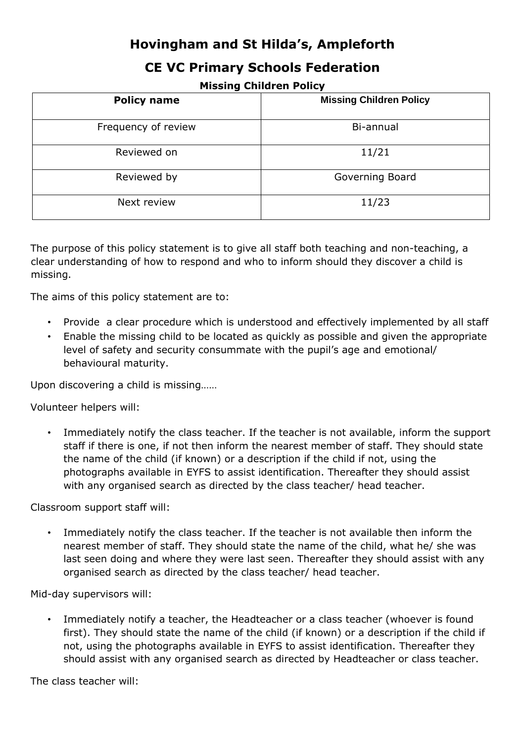# **Hovingham and St Hilda's, Ampleforth**

## **CE VC Primary Schools Federation**

**Missing Children Policy** 

| <b>Policy name</b>  | <b>Missing Children Policy</b> |
|---------------------|--------------------------------|
| Frequency of review | Bi-annual                      |
| Reviewed on         | 11/21                          |
| Reviewed by         | Governing Board                |
| Next review         | 11/23                          |

The purpose of this policy statement is to give all staff both teaching and non-teaching, a clear understanding of how to respond and who to inform should they discover a child is missing.

The aims of this policy statement are to:

- Provide a clear procedure which is understood and effectively implemented by all staff
- Enable the missing child to be located as quickly as possible and given the appropriate level of safety and security consummate with the pupil's age and emotional/ behavioural maturity.

Upon discovering a child is missing……

Volunteer helpers will:

• Immediately notify the class teacher. If the teacher is not available, inform the support staff if there is one, if not then inform the nearest member of staff. They should state the name of the child (if known) or a description if the child if not, using the photographs available in EYFS to assist identification. Thereafter they should assist with any organised search as directed by the class teacher/ head teacher.

Classroom support staff will:

• Immediately notify the class teacher. If the teacher is not available then inform the nearest member of staff. They should state the name of the child, what he/ she was last seen doing and where they were last seen. Thereafter they should assist with any organised search as directed by the class teacher/ head teacher.

Mid-day supervisors will:

• Immediately notify a teacher, the Headteacher or a class teacher (whoever is found first). They should state the name of the child (if known) or a description if the child if not, using the photographs available in EYFS to assist identification. Thereafter they should assist with any organised search as directed by Headteacher or class teacher.

The class teacher will: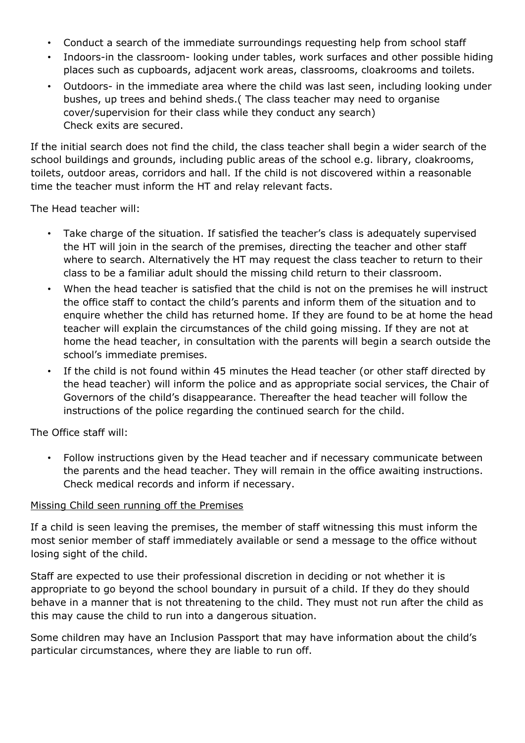- Conduct a search of the immediate surroundings requesting help from school staff
- Indoors-in the classroom- looking under tables, work surfaces and other possible hiding places such as cupboards, adjacent work areas, classrooms, cloakrooms and toilets.
- Outdoors- in the immediate area where the child was last seen, including looking under bushes, up trees and behind sheds.( The class teacher may need to organise cover/supervision for their class while they conduct any search) Check exits are secured.

If the initial search does not find the child, the class teacher shall begin a wider search of the school buildings and grounds, including public areas of the school e.g. library, cloakrooms, toilets, outdoor areas, corridors and hall. If the child is not discovered within a reasonable time the teacher must inform the HT and relay relevant facts.

The Head teacher will:

- Take charge of the situation. If satisfied the teacher's class is adequately supervised the HT will join in the search of the premises, directing the teacher and other staff where to search. Alternatively the HT may request the class teacher to return to their class to be a familiar adult should the missing child return to their classroom.
- When the head teacher is satisfied that the child is not on the premises he will instruct the office staff to contact the child's parents and inform them of the situation and to enquire whether the child has returned home. If they are found to be at home the head teacher will explain the circumstances of the child going missing. If they are not at home the head teacher, in consultation with the parents will begin a search outside the school's immediate premises.
- If the child is not found within 45 minutes the Head teacher (or other staff directed by the head teacher) will inform the police and as appropriate social services, the Chair of Governors of the child's disappearance. Thereafter the head teacher will follow the instructions of the police regarding the continued search for the child.

The Office staff will:

• Follow instructions given by the Head teacher and if necessary communicate between the parents and the head teacher. They will remain in the office awaiting instructions. Check medical records and inform if necessary.

### Missing Child seen running off the Premises

If a child is seen leaving the premises, the member of staff witnessing this must inform the most senior member of staff immediately available or send a message to the office without losing sight of the child.

Staff are expected to use their professional discretion in deciding or not whether it is appropriate to go beyond the school boundary in pursuit of a child. If they do they should behave in a manner that is not threatening to the child. They must not run after the child as this may cause the child to run into a dangerous situation.

Some children may have an Inclusion Passport that may have information about the child's particular circumstances, where they are liable to run off.